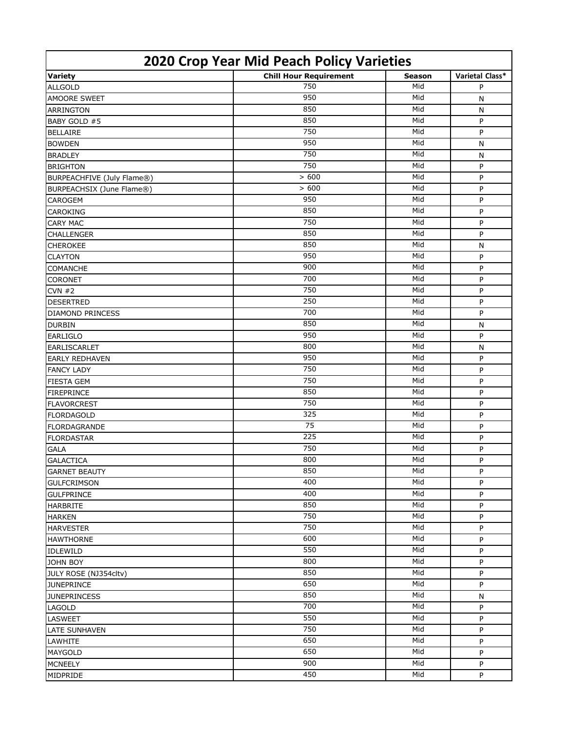| 2020 Crop Year Mid Peach Policy Varieties |                               |               |                 |  |  |
|-------------------------------------------|-------------------------------|---------------|-----------------|--|--|
| <b>Variety</b>                            | <b>Chill Hour Requirement</b> | <b>Season</b> | Varietal Class* |  |  |
| <b>ALLGOLD</b>                            | 750                           | Mid           | P               |  |  |
| <b>AMOORE SWEET</b>                       | 950                           | Mid           | N               |  |  |
| <b>ARRINGTON</b>                          | 850                           | Mid           | N               |  |  |
| BABY GOLD #5                              | 850                           | Mid           | P               |  |  |
| <b>BELLAIRE</b>                           | 750                           | Mid           | P               |  |  |
| <b>BOWDEN</b>                             | 950                           | Mid           | N               |  |  |
| <b>BRADLEY</b>                            | 750                           | Mid           | N               |  |  |
| <b>BRIGHTON</b>                           | 750                           | Mid           | P               |  |  |
| BURPEACHFIVE (July Flame®)                | > 600                         | Mid           | P               |  |  |
| BURPEACHSIX (June Flame®)                 | > 600                         | Mid           | P               |  |  |
| <b>CAROGEM</b>                            | 950                           | Mid           | P               |  |  |
| <b>CAROKING</b>                           | 850                           | Mid           | P               |  |  |
| <b>CARY MAC</b>                           | 750                           | Mid           | P               |  |  |
| <b>CHALLENGER</b>                         | 850                           | Mid           | P               |  |  |
| <b>CHEROKEE</b>                           | 850                           | Mid           | N               |  |  |
| <b>CLAYTON</b>                            | 950                           | Mid           | P               |  |  |
| <b>COMANCHE</b>                           | 900                           | Mid           | P               |  |  |
| <b>CORONET</b>                            | 700                           | Mid           | P               |  |  |
| CVN #2                                    | 750                           | Mid           | P               |  |  |
| <b>DESERTRED</b>                          | 250                           | Mid           | P               |  |  |
| <b>DIAMOND PRINCESS</b>                   | 700                           | Mid           | P               |  |  |
| <b>DURBIN</b>                             | 850                           | Mid           | N               |  |  |
| <b>EARLIGLO</b>                           | 950                           | Mid           | P               |  |  |
| <b>EARLISCARLET</b>                       | 800                           | Mid           | N               |  |  |
| <b>EARLY REDHAVEN</b>                     | 950                           | Mid           | P               |  |  |
| <b>FANCY LADY</b>                         | 750                           | Mid           | P               |  |  |
| <b>FIESTA GEM</b>                         | 750                           | Mid           | P               |  |  |
| <b>FIREPRINCE</b>                         | 850                           | Mid           | P               |  |  |
| <b>FLAVORCREST</b>                        | 750                           | Mid           | P               |  |  |
| <b>FLORDAGOLD</b>                         | 325                           | Mid           | P               |  |  |
| <b>FLORDAGRANDE</b>                       | 75                            | Mid           | P               |  |  |
| <b>FLORDASTAR</b>                         | 225                           | Mid           | P               |  |  |
| <b>GALA</b>                               | 750                           | Mid           | P               |  |  |
| <b>GALACTICA</b>                          | 800                           | Mid           | P               |  |  |
| <b>GARNET BEAUTY</b>                      | 850                           | Mid           | P               |  |  |
| <b>GULFCRIMSON</b>                        | 400                           | Mid           | P               |  |  |
| <b>GULFPRINCE</b>                         | 400                           | Mid           | P               |  |  |
| <b>HARBRITE</b>                           | 850                           | Mid           | P               |  |  |
| <b>HARKEN</b>                             | 750                           | Mid           | P               |  |  |
| <b>HARVESTER</b>                          | 750                           | Mid           | P               |  |  |
| <b>HAWTHORNE</b>                          | 600                           | Mid           | P               |  |  |
| <b>IDLEWILD</b>                           | 550                           | Mid           | P               |  |  |
| <b>JOHN BOY</b>                           | 800                           | Mid           | P               |  |  |
| JULY ROSE (NJ354cltv)                     | 850                           | Mid           | P               |  |  |
| <b>JUNEPRINCE</b>                         | 650                           | Mid           | P               |  |  |
| <b>JUNEPRINCESS</b>                       | 850                           | Mid           | N               |  |  |
| LAGOLD                                    | 700                           | Mid           | P               |  |  |
| <b>LASWEET</b>                            | 550                           | Mid           | P               |  |  |
| <b>LATE SUNHAVEN</b>                      | 750                           | Mid           | P               |  |  |
| LAWHITE                                   | 650                           | Mid           | P               |  |  |
| <b>MAYGOLD</b>                            | 650                           | Mid           | P               |  |  |
| <b>MCNEELY</b>                            | 900                           | Mid           | P               |  |  |
| MIDPRIDE                                  | 450                           | Mid           | P               |  |  |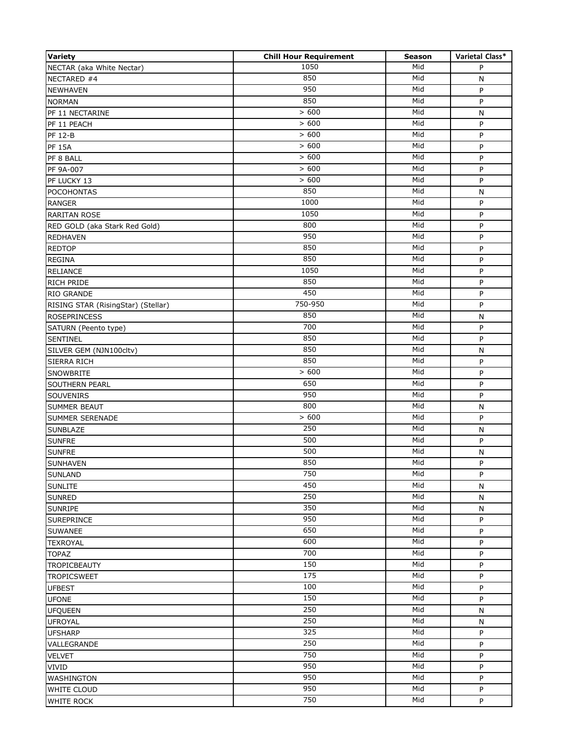| <b>Variety</b>                     | <b>Chill Hour Requirement</b> | <b>Season</b> | Varietal Class* |
|------------------------------------|-------------------------------|---------------|-----------------|
| NECTAR (aka White Nectar)          | 1050                          | Mid           | P               |
| NECTARED #4                        | 850                           | Mid           | N               |
| <b>NEWHAVEN</b>                    | 950                           | Mid           | P               |
| <b>NORMAN</b>                      | 850                           | Mid           | P               |
| PF 11 NECTARINE                    | >600                          | Mid           | N               |
| PF 11 PEACH                        | > 600                         | Mid           | P               |
| <b>PF 12-B</b>                     | > 600                         | Mid           | P               |
| <b>PF 15A</b>                      | > 600                         | Mid           | P               |
| PF 8 BALL                          | > 600                         | Mid           | P               |
| PF 9A-007                          | > 600                         | Mid           | P               |
| PF LUCKY 13                        | > 600                         | Mid           | P               |
| <b>POCOHONTAS</b>                  | 850                           | Mid           | N               |
| <b>RANGER</b>                      | 1000                          | Mid           | P               |
| <b>RARITAN ROSE</b>                | 1050                          | Mid           | P               |
| RED GOLD (aka Stark Red Gold)      | 800                           | Mid           | P               |
| <b>REDHAVEN</b>                    | 950                           | Mid           | P               |
| <b>REDTOP</b>                      | 850                           | Mid           | P               |
| <b>REGINA</b>                      | 850                           | Mid           | P               |
| <b>RELIANCE</b>                    | 1050                          | Mid           | P               |
| <b>RICH PRIDE</b>                  | 850                           | Mid           | P               |
| <b>RIO GRANDE</b>                  | 450                           | Mid           | P               |
| RISING STAR (RisingStar) (Stellar) | 750-950                       | Mid           | P               |
| <b>ROSEPRINCESS</b>                | 850                           | Mid           | N               |
| SATURN (Peento type)               | 700                           | Mid           | P               |
| <b>SENTINEL</b>                    | 850                           | Mid           | P               |
| SILVER GEM (NJN100cltv)            | 850                           | Mid           | N               |
| <b>SIERRA RICH</b>                 | 850                           | Mid           | P               |
|                                    | > 600                         | Mid           | $\sf P$         |
| SNOWBRITE                          | 650                           | Mid           |                 |
| <b>SOUTHERN PEARL</b>              | 950                           | Mid           | P<br>P          |
| SOUVENIRS                          | 800                           | Mid           |                 |
| <b>SUMMER BEAUT</b>                | > 600                         | Mid           | $\mathsf{N}$    |
| <b>SUMMER SERENADE</b>             | 250                           | Mid           | P               |
| <b>SUNBLAZE</b>                    | 500                           | Mid           | N               |
| <b>SUNFRE</b>                      | 500                           | Mid           | P               |
| <b>SUNFRE</b>                      | 850                           | Mid           | N               |
| <b>SUNHAVEN</b>                    | 750                           | Mid           | P               |
| <b>SUNLAND</b>                     | 450                           | Mid           | P               |
| <b>SUNLITE</b>                     | 250                           | Mid           | N               |
| <b>SUNRED</b>                      |                               |               | ${\sf N}$       |
| <b>SUNRIPE</b>                     | 350<br>950                    | Mid<br>Mid    | N               |
| <b>SUREPRINCE</b>                  | 650                           |               | P               |
| <b>SUWANEE</b>                     |                               | Mid           | P               |
| <b>TEXROYAL</b>                    | 600                           | Mid           | P               |
| <b>TOPAZ</b>                       | 700                           | Mid           | P               |
| <b>TROPICBEAUTY</b>                | 150                           | Mid           | P               |
| <b>TROPICSWEET</b>                 | 175                           | Mid           | P               |
| <b>UFBEST</b>                      | 100                           | Mid           | P               |
| <b>UFONE</b>                       | 150                           | Mid           | P               |
| <b>UFQUEEN</b>                     | 250                           | Mid           | N               |
| <b>UFROYAL</b>                     | 250                           | Mid           | N               |
| <b>UFSHARP</b>                     | 325                           | Mid           | P               |
| VALLEGRANDE                        | 250                           | Mid           | P               |
| <b>VELVET</b>                      | 750                           | Mid           | P               |
| <b>VIVID</b>                       | 950                           | Mid           | P               |
| <b>WASHINGTON</b>                  | 950                           | Mid           | P               |
| <b>WHITE CLOUD</b>                 | 950                           | Mid           | P               |
| <b>WHITE ROCK</b>                  | 750                           | Mid           | P               |